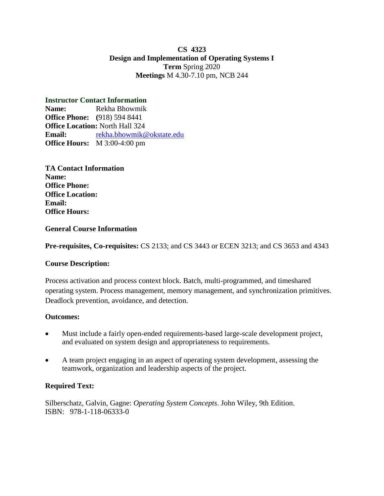## **CS 4323 Design and Implementation of Operating Systems I Term** Spring 2020 **Meetings** M 4.30-7.10 pm, NCB 244

# **Instructor Contact Information**

**Name:** Rekha Bhowmik **Office Phone: (**918) 594 8441 **Office Location:** North Hall 324 **Email:** [rekha.bhowmik@okstate.edu](mailto:rekha.bhowmik@okstate.edu) **Office Hours:** M 3:00-4:00 pm

**TA Contact Information Name: Office Phone: Office Location: Email: Office Hours:**

## **General Course Information**

**Pre-requisites, Co-requisites:** CS 2133; and CS 3443 or ECEN 3213; and CS 3653 and 4343

## **Course Description:**

Process activation and process context block. Batch, multi-programmed, and timeshared operating system. Process management, memory management, and synchronization primitives. Deadlock prevention, avoidance, and detection.

## **Outcomes:**

- Must include a fairly open-ended requirements-based large-scale development project, and evaluated on system design and appropriateness to requirements.
- A team project engaging in an aspect of operating system development, assessing the teamwork, organization and leadership aspects of the project.

## **Required Text:**

Silberschatz, Galvin, Gagne: *Operating System Concepts*. John Wiley, 9th Edition. ISBN: 978-1-118-06333-0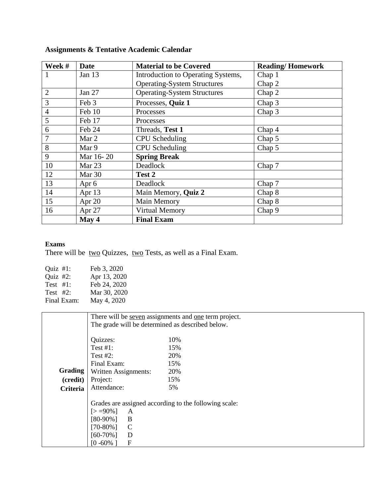| Week #         | <b>Date</b> | <b>Material to be Covered</b>      | <b>Reading/Homework</b> |
|----------------|-------------|------------------------------------|-------------------------|
|                | Jan 13      | Introduction to Operating Systems, | Chap 1                  |
|                |             | <b>Operating-System Structures</b> | Chap 2                  |
| $\overline{2}$ | Jan 27      | <b>Operating-System Structures</b> | Chap 2                  |
| 3              | Feb 3       | Processes, Quiz 1                  | Chap 3                  |
| $\overline{4}$ | Feb 10      | Processes                          | Chap 3                  |
| 5              | Feb 17      | Processes                          |                         |
| 6              | Feb 24      | Threads, Test 1                    | Chap 4                  |
| 7              | Mar 2       | <b>CPU</b> Scheduling              | Chap 5                  |
| 8              | Mar 9       | <b>CPU</b> Scheduling              | Chap 5                  |
| 9              | Mar 16-20   | <b>Spring Break</b>                |                         |
| 10             | Mar 23      | Deadlock                           | Chap 7                  |
| 12             | Mar 30      | Test 2                             |                         |
| 13             | Apr 6       | Deadlock                           | Chap 7                  |
| 14             | Apr $13$    | Main Memory, Quiz 2                | Chap 8                  |
| 15             | Apr 20      | Main Memory                        | Chap 8                  |
| 16             | Apr 27      | <b>Virtual Memory</b>              | Chap <sub>9</sub>       |
|                | May 4       | <b>Final Exam</b>                  |                         |

# **Assignments & Tentative Academic Calendar**

#### **Exams**

There will be two Quizzes, two Tests, as well as a Final Exam.

| Quiz $#1$ : | Feb 3, 2020  |
|-------------|--------------|
| Quiz #2:    | Apr 13, 2020 |
| Test $#1$ : | Feb 24, 2020 |
| Test $#2$ : | Mar 30, 2020 |
| Final Exam: | May 4, 2020  |

|                | There will be <u>seven</u> assignments and <u>one</u> term project.                                                                            |                                                       |  |  |  |
|----------------|------------------------------------------------------------------------------------------------------------------------------------------------|-------------------------------------------------------|--|--|--|
|                | The grade will be determined as described below.                                                                                               |                                                       |  |  |  |
|                |                                                                                                                                                |                                                       |  |  |  |
|                | Quizzes:                                                                                                                                       | 10%                                                   |  |  |  |
|                | Test $#1$ :                                                                                                                                    | 15%                                                   |  |  |  |
|                | Test $#2$ :                                                                                                                                    | 20%                                                   |  |  |  |
|                | Final Exam:                                                                                                                                    | 15%                                                   |  |  |  |
| <b>Grading</b> | Written Assignments:                                                                                                                           | 20%                                                   |  |  |  |
| (credit)       | Project:                                                                                                                                       | 15%                                                   |  |  |  |
| Criteria       | Attendance:                                                                                                                                    | 5%                                                    |  |  |  |
|                | $\lceil > 90\% \rceil$<br>A<br>B<br>$[80-90\%]$<br>$\mathbf C$<br>$[70-80\%]$<br>D<br>$[60-70\%]$<br>$\boldsymbol{\mathrm{F}}$<br>$[0 - 60\%]$ | Grades are assigned according to the following scale: |  |  |  |